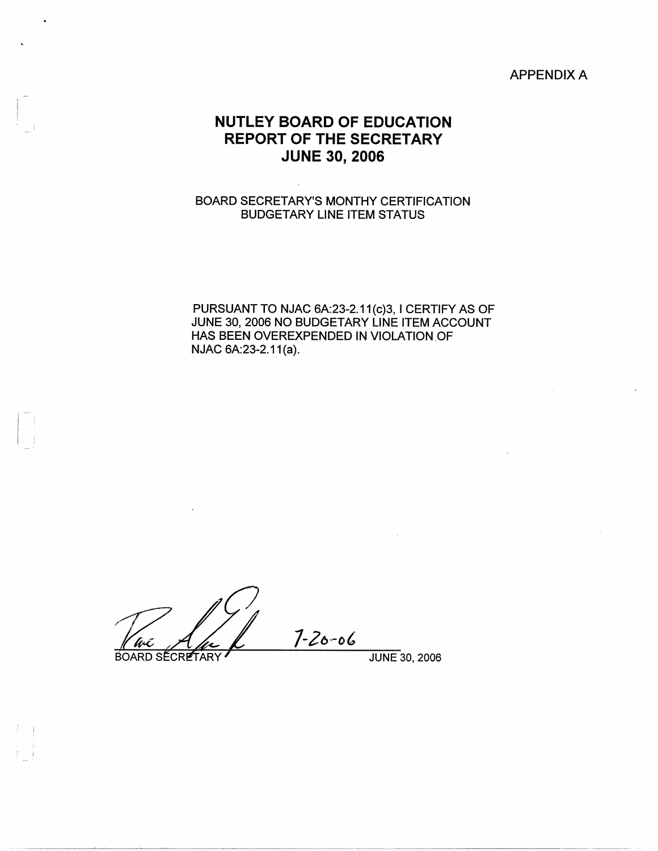## APPENDIX A

## **NUTLEY BOARD OF EDUCATION REPORT OF THE SECRETARY JUNE 30, 2006**

## BOARD SECRETARY'S MONTHY CERTIFICATION BUDGETARY LINE ITEM STATUS

PURSUANT TO NJAC 6A:23-2.11(c)3, I CERTIFY AS OF JUNE 30, 2006 NO BUDGETARY LINE ITEM ACCOUNT HAS BEEN OVEREXPENDED IN VIOLATION OF NJAC 6A:23-2.11(a).

 $7 - 20 - 06$ 

Ant

**BOARD SECRETARY** 

 $\begin{bmatrix} 1 & 1 \\ 1 & 1 \end{bmatrix}$ 

 $\mathbf{I} = \mathbf{I}$ 

JUNE 30, 2006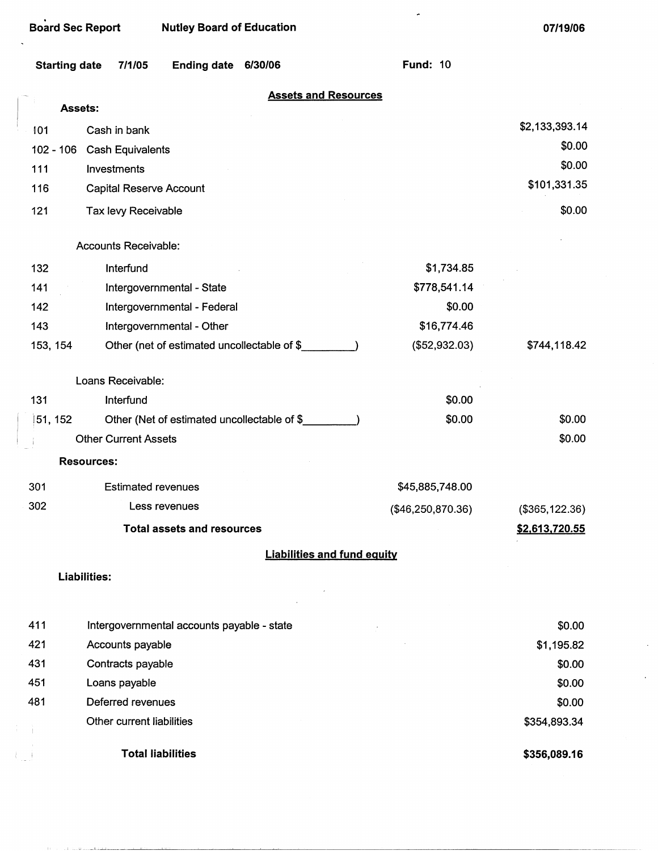|                      | <b>Board Sec Report</b><br><b>Nutley Board of Education</b> |                   | 07/19/06        |
|----------------------|-------------------------------------------------------------|-------------------|-----------------|
| <b>Starting date</b> | Ending date 6/30/06<br>7/1/05                               | <b>Fund: 10</b>   |                 |
|                      | <b>Assets and Resources</b><br><b>Assets:</b>               |                   |                 |
| 101                  | Cash in bank                                                |                   | \$2,133,393.14  |
|                      | 102 - 106 Cash Equivalents                                  |                   | \$0.00          |
| 111                  | Investments                                                 |                   | \$0.00          |
| 116                  | <b>Capital Reserve Account</b>                              |                   | \$101,331.35    |
| 121                  | Tax levy Receivable                                         |                   | \$0.00          |
|                      | <b>Accounts Receivable:</b>                                 |                   |                 |
| 132                  | Interfund                                                   | \$1,734.85        |                 |
| 141                  | Intergovernmental - State                                   | \$778,541.14      |                 |
| 142                  | Intergovernmental - Federal                                 | \$0.00            |                 |
| 143                  | Intergovernmental - Other                                   | \$16,774.46       |                 |
| 153, 154             | Other (net of estimated uncollectable of \$                 | (\$52,932.03)     | \$744,118.42    |
|                      | Loans Receivable:                                           |                   |                 |
| 131                  | Interfund                                                   | \$0.00            |                 |
| 51, 152              | Other (Net of estimated uncollectable of \$                 | \$0.00            | \$0.00          |
|                      | <b>Other Current Assets</b>                                 |                   | \$0.00          |
|                      | <b>Resources:</b>                                           |                   |                 |
| 301                  | <b>Estimated revenues</b>                                   | \$45,885,748.00   |                 |
| 302                  | Less revenues                                               | (\$46,250,870.36) | (\$365, 122.36) |
|                      | <b>Total assets and resources</b>                           |                   | \$2,613,720.55  |
|                      | <b>Liabilities and fund equity</b>                          |                   |                 |
|                      | Liabilities:                                                |                   |                 |
| 411                  | Intergovernmental accounts payable - state                  |                   | \$0.00          |
| 421                  | Accounts payable                                            |                   | \$1,195.82      |
| 431                  | Contracts payable                                           |                   | \$0.00          |
| 451                  | Loans payable                                               |                   | \$0.00          |
| 481                  | Deferred revenues                                           |                   | \$0.00          |
|                      | Other current liabilities                                   |                   | \$354,893.34    |
|                      | <b>Total liabilities</b>                                    |                   | \$356,089.16    |

 $\mathcal{C}^{\mathcal{C}}$  . The contract of the contract of the contract of the following

 $\bar{\gamma}$ 

 $\mathcal{L}^{\pm}$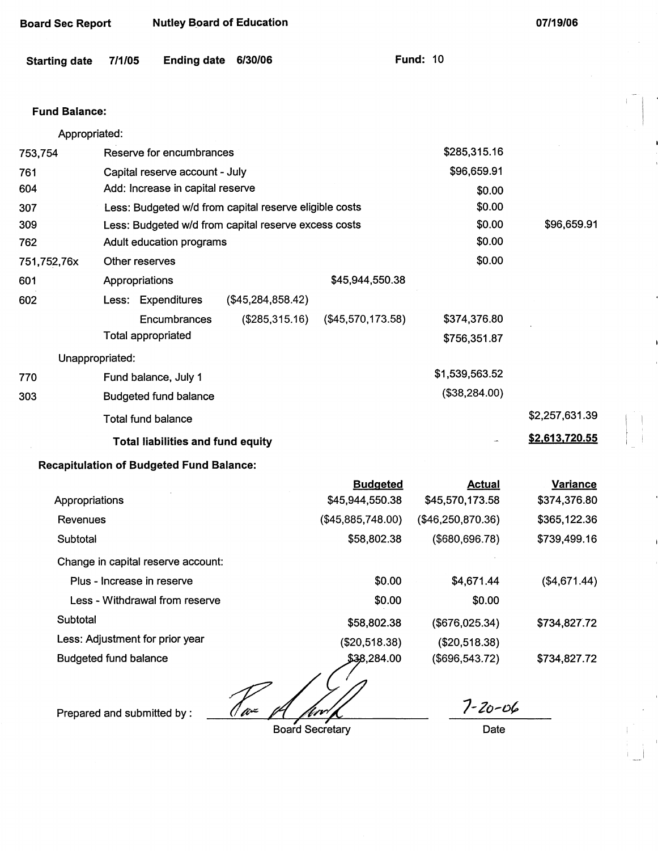| <b>Board Sec Report</b> |                              | <b>Nutley Board of Education</b>                       |                   |                                    |                                  | 07/19/06                        |  |
|-------------------------|------------------------------|--------------------------------------------------------|-------------------|------------------------------------|----------------------------------|---------------------------------|--|
| <b>Starting date</b>    | 7/1/05                       | <b>Ending date</b>                                     | 6/30/06           |                                    | <b>Fund: 10</b>                  |                                 |  |
| <b>Fund Balance:</b>    |                              |                                                        |                   |                                    |                                  |                                 |  |
| Appropriated:           |                              |                                                        |                   |                                    |                                  |                                 |  |
| 753,754                 |                              | Reserve for encumbrances                               |                   |                                    | \$285,315.16                     |                                 |  |
| 761                     |                              | Capital reserve account - July                         |                   |                                    | \$96,659.91                      |                                 |  |
| 604                     |                              | Add: Increase in capital reserve                       |                   |                                    | \$0.00                           |                                 |  |
| 307                     |                              | Less: Budgeted w/d from capital reserve eligible costs |                   |                                    | \$0.00                           |                                 |  |
| 309                     |                              | Less: Budgeted w/d from capital reserve excess costs   |                   |                                    | \$0.00                           | \$96,659.91                     |  |
| 762                     |                              | Adult education programs                               |                   |                                    | \$0.00                           |                                 |  |
| 751,752,76x             |                              | Other reserves                                         |                   |                                    | \$0.00                           |                                 |  |
| 601                     | Appropriations               |                                                        |                   | \$45,944,550.38                    |                                  |                                 |  |
| 602                     |                              | Less: Expenditures                                     | (\$45,284,858.42) |                                    |                                  |                                 |  |
|                         |                              | Encumbrances                                           | (\$285,315.16)    | (\$45,570,173.58)                  | \$374,376.80                     |                                 |  |
|                         |                              | <b>Total appropriated</b>                              |                   |                                    | \$756,351.87                     |                                 |  |
|                         | Unappropriated:              |                                                        |                   |                                    |                                  |                                 |  |
| 770                     |                              | Fund balance, July 1                                   |                   |                                    | \$1,539,563.52                   |                                 |  |
| 303                     |                              | <b>Budgeted fund balance</b>                           |                   |                                    | (\$38,284.00)                    |                                 |  |
|                         |                              | Total fund balance                                     |                   |                                    |                                  | \$2,257,631.39                  |  |
|                         |                              | <b>Total liabilities and fund equity</b>               |                   |                                    |                                  | \$2,613,720.55                  |  |
|                         |                              | <b>Recapitulation of Budgeted Fund Balance:</b>        |                   |                                    |                                  |                                 |  |
| Appropriations          |                              |                                                        |                   | <b>Budgeted</b><br>\$45,944,550.38 | <b>Actual</b><br>\$45,570,173.58 | <b>Variance</b><br>\$374,376.80 |  |
| Revenues                |                              |                                                        |                   | (\$45,885,748.00)                  | (\$46,250,870.36)                | \$365,122.36                    |  |
| Subtotal                |                              |                                                        |                   | \$58,802.38                        | (\$680,696.78)                   | \$739,499.16                    |  |
|                         |                              | Change in capital reserve account:                     |                   |                                    |                                  |                                 |  |
|                         |                              | Plus - Increase in reserve                             |                   | \$0.00                             | \$4,671.44                       | (\$4,671.44)                    |  |
|                         |                              | Less - Withdrawal from reserve                         |                   | \$0.00                             | \$0.00                           |                                 |  |
| Subtotal                |                              |                                                        |                   | \$58,802.38                        | (\$676,025.34)                   | \$734,827.72                    |  |
|                         |                              | Less: Adjustment for prior year                        |                   | (\$20,518.38)                      | (\$20,518.38)                    |                                 |  |
|                         | <b>Budgeted fund balance</b> |                                                        |                   | \$38,284.00                        | (\$696,543.72)                   | \$734,827.72                    |  |

Prepared and submitted by: *1 a 1 for 1 for 1 1-20-06* 

Board Secretary Date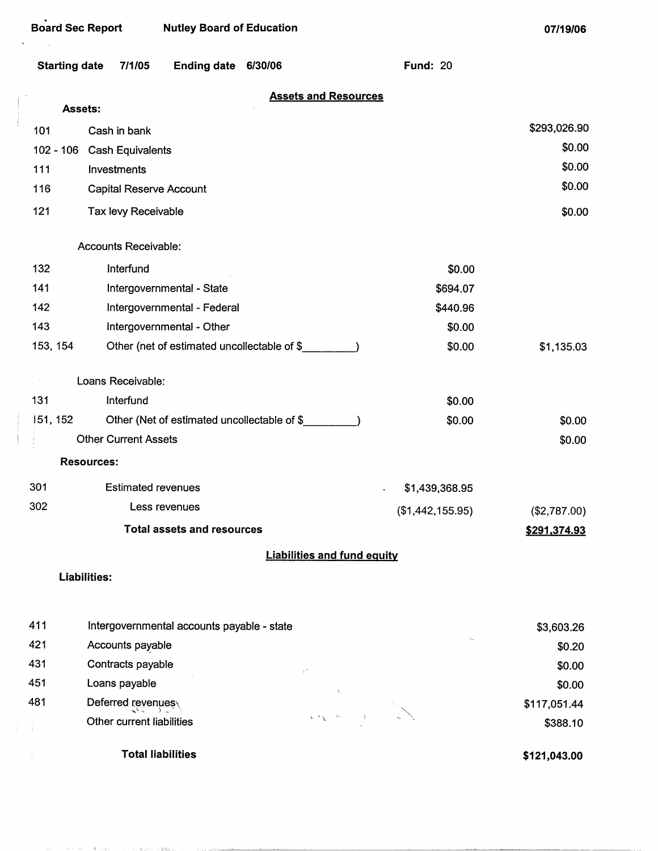| <b>Starting date</b> | 7/1/05                                      | <b>Ending date</b>         | 6/30/06 |                                    | <b>Fund: 20</b>  |                     |
|----------------------|---------------------------------------------|----------------------------|---------|------------------------------------|------------------|---------------------|
| Assets:              |                                             |                            |         | <b>Assets and Resources</b>        |                  |                     |
| 101                  | Cash in bank                                |                            |         |                                    |                  | \$293,026.90        |
| $102 - 106$          | <b>Cash Equivalents</b>                     |                            |         |                                    |                  | \$0.00              |
| 111                  | Investments                                 |                            |         |                                    |                  | \$0.00              |
| 116                  | Capital Reserve Account                     |                            |         |                                    |                  | \$0.00              |
| 121                  | Tax levy Receivable                         |                            |         |                                    |                  | \$0.00              |
|                      | Accounts Receivable:                        |                            |         |                                    |                  |                     |
| 132                  | Interfund                                   |                            |         |                                    | \$0.00           |                     |
| 141                  | Intergovernmental - State                   |                            |         |                                    | \$694.07         |                     |
| 142                  | Intergovernmental - Federal                 |                            |         |                                    | \$440.96         |                     |
| 143                  | Intergovernmental - Other                   |                            |         |                                    | \$0.00           |                     |
| 153, 154             | Other (net of estimated uncollectable of \$ |                            |         |                                    | \$0.00           | \$1,135.03          |
|                      | Loans Receivable:                           |                            |         |                                    |                  |                     |
| 131                  | Interfund                                   |                            |         |                                    | \$0.00           |                     |
| 151, 152             | Other (Net of estimated uncollectable of \$ |                            |         |                                    | \$0.00           | \$0.00              |
|                      | <b>Other Current Assets</b>                 |                            |         |                                    |                  | \$0.00              |
| <b>Resources:</b>    |                                             |                            |         |                                    |                  |                     |
| 301                  | <b>Estimated revenues</b>                   |                            |         |                                    | \$1,439,368.95   |                     |
| 302                  | Less revenues                               |                            |         |                                    | (\$1,442,155.95) | (\$2,787.00)        |
|                      |                                             | Total assets and resources |         |                                    |                  | <u>\$291,374.93</u> |
|                      |                                             |                            |         | <b>Liabilities and fund equity</b> |                  |                     |
| <b>Liabilities:</b>  |                                             |                            |         |                                    |                  |                     |
| 411                  | Intergovernmental accounts payable - state  |                            |         |                                    |                  | \$3,603.26          |
| 421                  | Accounts payable                            |                            |         |                                    |                  | \$0.20              |
| 431                  | Contracts payable                           |                            |         |                                    |                  | \$0.00              |
| 451                  | Loans payable                               |                            |         |                                    |                  | \$0.00              |
| 481                  | Deferred revenues                           |                            |         |                                    |                  | \$117,051.44        |
|                      | Other current liabilities                   |                            |         |                                    |                  | \$388.10            |

**Total liabilities** 

The Committee of the Committee and the Committee of the management of the committee and

 $\mathcal{A}_1$ 

**\$121,043.00**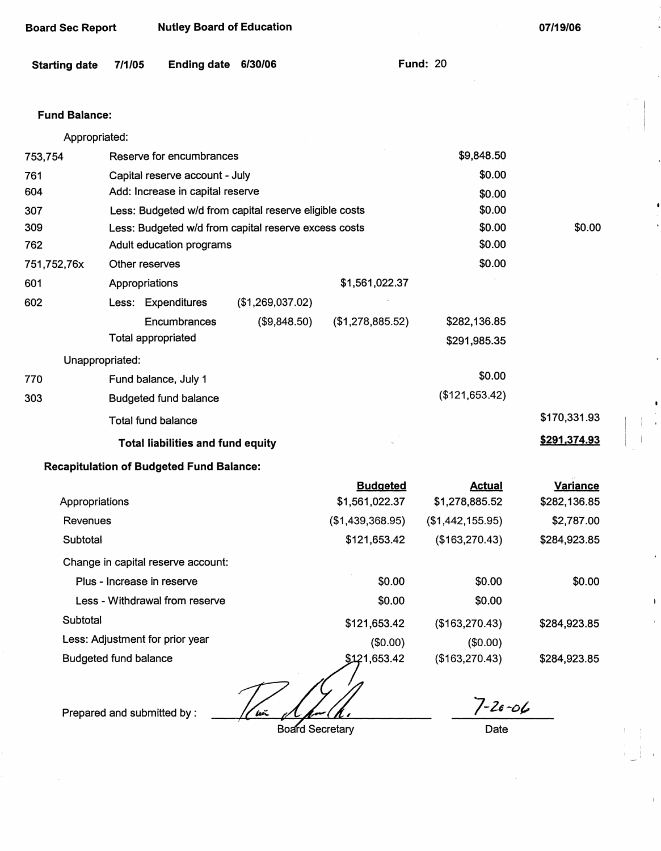| <b>Board Sec Report</b> |                              | <b>Nutley Board of Education</b>                |                                                        |                                   |                                 | 07/19/06                        |
|-------------------------|------------------------------|-------------------------------------------------|--------------------------------------------------------|-----------------------------------|---------------------------------|---------------------------------|
| <b>Starting date</b>    | 7/1/05                       | <b>Ending date</b>                              | 6/30/06                                                |                                   | <b>Fund: 20</b>                 |                                 |
| <b>Fund Balance:</b>    |                              |                                                 |                                                        |                                   |                                 |                                 |
| Appropriated:           |                              |                                                 |                                                        |                                   |                                 |                                 |
| 753,754                 |                              | Reserve for encumbrances                        |                                                        |                                   | \$9,848.50                      |                                 |
| 761                     |                              | Capital reserve account - July                  |                                                        |                                   | \$0.00                          |                                 |
| 604                     |                              | Add: Increase in capital reserve                |                                                        |                                   | \$0.00                          |                                 |
| 307                     |                              |                                                 | Less: Budgeted w/d from capital reserve eligible costs |                                   | \$0.00                          |                                 |
| 309                     |                              |                                                 | Less: Budgeted w/d from capital reserve excess costs   |                                   | \$0.00                          | \$0.00                          |
| 762                     |                              | Adult education programs                        |                                                        |                                   | \$0.00                          |                                 |
| 751,752,76x             | Other reserves               |                                                 |                                                        |                                   | \$0.00                          |                                 |
| 601                     | Appropriations               |                                                 |                                                        | \$1,561,022.37                    |                                 |                                 |
| 602                     |                              | Less: Expenditures                              | (\$1,269,037.02)                                       |                                   |                                 |                                 |
|                         |                              | Encumbrances                                    | (\$9,848.50)                                           | (\$1,278,885.52)                  | \$282,136.85                    |                                 |
|                         |                              | <b>Total appropriated</b>                       |                                                        |                                   | \$291,985.35                    |                                 |
| Unappropriated:         |                              |                                                 |                                                        |                                   |                                 |                                 |
| 770                     |                              | Fund balance, July 1                            |                                                        |                                   | \$0.00                          |                                 |
| 303                     |                              | <b>Budgeted fund balance</b>                    |                                                        |                                   | (\$121,653.42)                  |                                 |
|                         |                              | <b>Total fund balance</b>                       |                                                        |                                   |                                 | \$170,331.93                    |
|                         |                              | <b>Total liabilities and fund equity</b>        |                                                        |                                   |                                 | \$291,374.93                    |
|                         |                              | <b>Recapitulation of Budgeted Fund Balance:</b> |                                                        |                                   |                                 |                                 |
| Appropriations          |                              |                                                 |                                                        | <b>Budgeted</b><br>\$1,561,022.37 | <u>Actual</u><br>\$1,278,885.52 | <b>Variance</b><br>\$282,136.85 |
| Revenues                |                              |                                                 |                                                        | (\$1,439,368.95)                  | (\$1,442,155.95)                | \$2,787.00                      |
| Subtotal                |                              |                                                 |                                                        | \$121,653.42                      | (\$163,270.43)                  | \$284,923.85                    |
|                         |                              | Change in capital reserve account:              |                                                        |                                   |                                 |                                 |
|                         |                              | Plus - Increase in reserve                      |                                                        | \$0.00                            | \$0.00                          | \$0.00                          |
|                         |                              | Less - Withdrawal from reserve                  |                                                        | \$0.00                            | \$0.00                          |                                 |
| Subtotal                |                              |                                                 |                                                        | \$121,653.42                      | (\$163,270.43)                  | \$284,923.85                    |
|                         |                              | Less: Adjustment for prior year                 |                                                        | (\$0.00)                          | (\$0.00)                        |                                 |
|                         | <b>Budgeted fund balance</b> |                                                 |                                                        | \$121,653.42                      | (\$163,270.43)                  | \$284,923.85                    |

heñ

Prepared and submitted by :

 $\bar{z}$ 

Board Secretary

*7-u-ol,,*  Date

I •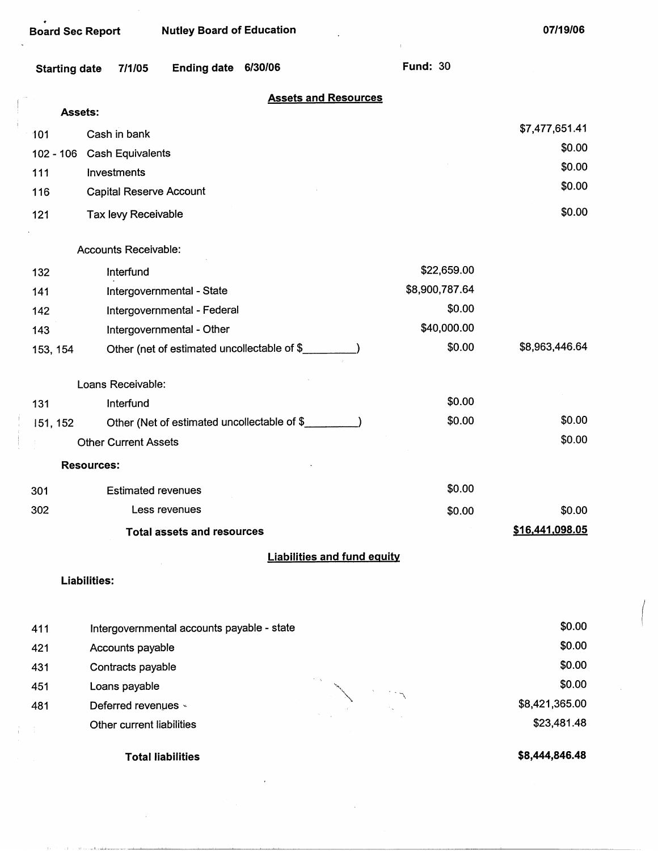| <b>Board Sec Report</b> |                                | <b>Nutley Board of Education</b>  |                                             |                                    |                 | 07/19/06        |
|-------------------------|--------------------------------|-----------------------------------|---------------------------------------------|------------------------------------|-----------------|-----------------|
| <b>Starting date</b>    | 7/1/05                         | <b>Ending date</b>                | 6/30/06                                     |                                    | <b>Fund: 30</b> |                 |
|                         |                                |                                   |                                             | <b>Assets and Resources</b>        |                 |                 |
| Assets:                 |                                |                                   |                                             |                                    |                 |                 |
| 101                     | Cash in bank                   |                                   |                                             |                                    |                 | \$7,477,651.41  |
| $102 - 106$             | Cash Equivalents               |                                   |                                             |                                    |                 | \$0.00          |
| 111                     | Investments                    |                                   |                                             |                                    |                 | \$0.00          |
| 116                     | <b>Capital Reserve Account</b> |                                   |                                             |                                    |                 | \$0.00          |
| 121                     | Tax levy Receivable            |                                   |                                             |                                    |                 | \$0.00          |
|                         | Accounts Receivable:           |                                   |                                             |                                    |                 |                 |
| 132                     | Interfund                      |                                   |                                             |                                    | \$22,659.00     |                 |
| 141                     |                                | Intergovernmental - State         |                                             |                                    | \$8,900,787.64  |                 |
| 142                     |                                | Intergovernmental - Federal       |                                             |                                    | \$0.00          |                 |
| 143                     |                                | Intergovernmental - Other         |                                             |                                    | \$40,000.00     |                 |
| 153, 154                |                                |                                   | Other (net of estimated uncollectable of \$ |                                    | \$0.00          | \$8,963,446.64  |
|                         | Loans Receivable:              |                                   |                                             |                                    |                 |                 |
| 131                     | Interfund                      |                                   |                                             |                                    | \$0.00          |                 |
| 151, 152                |                                |                                   | Other (Net of estimated uncollectable of \$ |                                    | \$0.00          | \$0.00          |
|                         | <b>Other Current Assets</b>    |                                   |                                             |                                    |                 | \$0.00          |
|                         | <b>Resources:</b>              |                                   |                                             |                                    |                 |                 |
| 301                     | <b>Estimated revenues</b>      |                                   |                                             |                                    | \$0.00          |                 |
| 302                     | Less revenues                  |                                   | \$0.00                                      | \$0.00                             |                 |                 |
|                         |                                | <b>Total assets and resources</b> |                                             |                                    |                 | \$16,441,098.05 |
|                         |                                |                                   |                                             | <b>Liabilities and fund equity</b> |                 |                 |
|                         | <b>Liabilities:</b>            |                                   |                                             |                                    |                 |                 |
|                         |                                |                                   |                                             |                                    |                 | en nn.          |

| 411 | Intergovernmental accounts payable - state | \$0.00         |
|-----|--------------------------------------------|----------------|
| 421 | Accounts payable                           | \$0.00         |
| 431 | Contracts payable                          | \$0.00         |
| 451 | Loans payable                              | \$0.00         |
| 481 | Deferred revenues «                        | \$8,421,365.00 |
|     | Other current liabilities                  | \$23,481.48    |
|     |                                            |                |

Total liabilities

شباسيات الأرباط

**\$8,444,846.48** 

 $\left($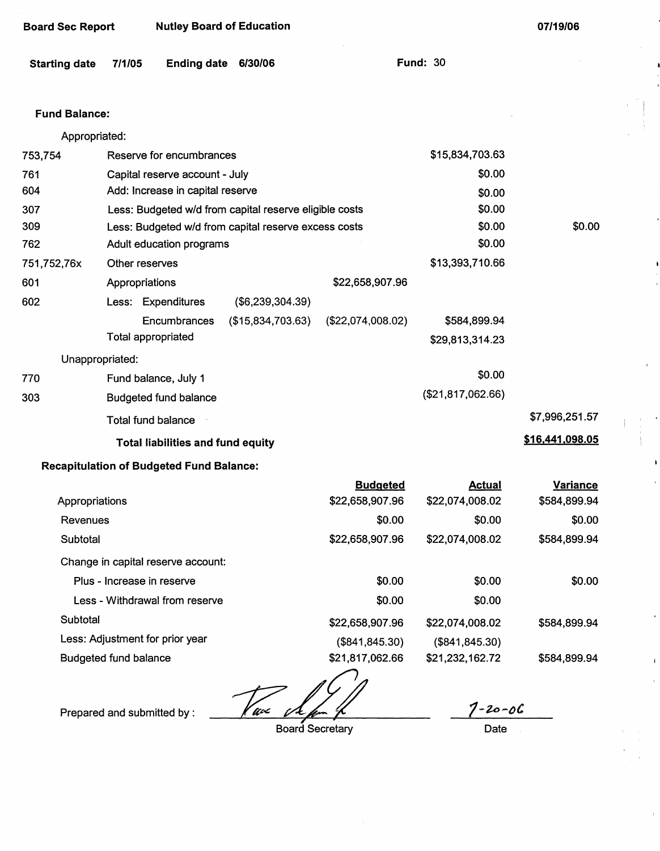| <b>Board Sec Report</b> |        | <b>Nutley Board of Education</b>                |                                                        |                                    |                                  | 07/19/06                        |
|-------------------------|--------|-------------------------------------------------|--------------------------------------------------------|------------------------------------|----------------------------------|---------------------------------|
| <b>Starting date</b>    | 7/1/05 | <b>Ending date</b>                              | 6/30/06                                                |                                    | <b>Fund: 30</b>                  |                                 |
| <b>Fund Balance:</b>    |        |                                                 |                                                        |                                    |                                  |                                 |
| Appropriated:           |        |                                                 |                                                        |                                    |                                  |                                 |
| 753,754                 |        | Reserve for encumbrances                        |                                                        |                                    | \$15,834,703.63                  |                                 |
| 761                     |        | Capital reserve account - July                  |                                                        |                                    | \$0.00                           |                                 |
| 604                     |        | Add: Increase in capital reserve                |                                                        |                                    | \$0.00                           |                                 |
| 307                     |        |                                                 | Less: Budgeted w/d from capital reserve eligible costs |                                    | \$0.00                           |                                 |
| 309                     |        |                                                 | Less: Budgeted w/d from capital reserve excess costs   |                                    | \$0.00                           | \$0.00                          |
| 762                     |        | Adult education programs                        |                                                        |                                    | \$0.00                           |                                 |
| 751,752,76x             |        | Other reserves                                  |                                                        |                                    | \$13,393,710.66                  |                                 |
| 601                     |        | Appropriations                                  |                                                        | \$22,658,907.96                    |                                  |                                 |
| 602                     |        | Less: Expenditures                              | (\$6,239,304.39)                                       |                                    |                                  |                                 |
|                         |        | Encumbrances<br><b>Total appropriated</b>       | (\$15,834,703.63)                                      | (\$22,074,008.02)                  | \$584,899.94<br>\$29,813,314.23  |                                 |
| Unappropriated:         |        |                                                 |                                                        |                                    |                                  |                                 |
| 770                     |        | Fund balance, July 1                            |                                                        |                                    | \$0.00                           |                                 |
| 303                     |        | <b>Budgeted fund balance</b>                    |                                                        |                                    | (\$21,817,062.66)                |                                 |
|                         |        | <b>Total fund balance</b>                       |                                                        |                                    |                                  | \$7,996,251.57                  |
|                         |        | <b>Total liabilities and fund equity</b>        |                                                        |                                    |                                  | \$16,441,098.05                 |
|                         |        | <b>Recapitulation of Budgeted Fund Balance:</b> |                                                        |                                    |                                  |                                 |
| Appropriations          |        |                                                 |                                                        | <b>Budgeted</b><br>\$22,658,907.96 | <b>Actual</b><br>\$22,074,008.02 | <b>Variance</b><br>\$584,899.94 |
| Revenues                |        |                                                 |                                                        | \$0.00                             | \$0.00                           | \$0.00                          |
| Subtotal                |        |                                                 |                                                        | \$22,658,907.96                    | \$22,074,008.02                  | \$584,899.94                    |
|                         |        | Change in capital reserve account:              |                                                        |                                    |                                  |                                 |
|                         |        | Plus - Increase in reserve                      |                                                        | \$0.00                             | \$0.00                           | \$0.00                          |
|                         |        | Less - Withdrawal from reserve                  |                                                        | \$0.00                             | \$0.00                           |                                 |
| Subtotal                |        |                                                 |                                                        | \$22,658,907.96                    | \$22,074,008.02                  | \$584,899.94                    |

Less: Adjustment for prior year

Budgeted fund balance

Prepared and submitted by :  $\frac{1}{\sqrt{1-\frac{1}{n}}}$ 

Board Secretary

*1-;u,-()C,* 

**\$584,899.94** 

**(\$841,845.30) \$21,232,162.72** 

**Date** 

**(\$841,845.30) \$21,817,062.66**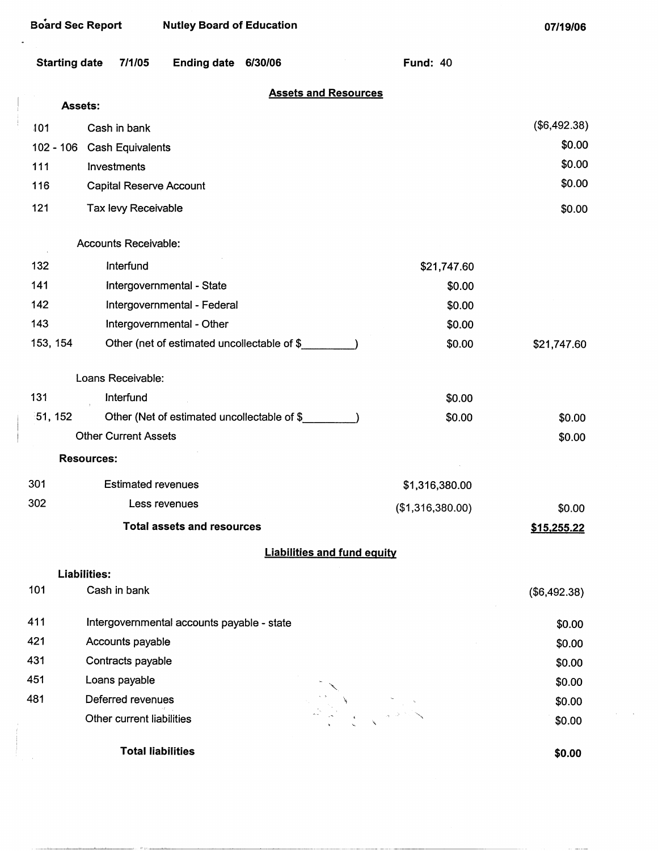$\hat{\mathbf{r}}$ 

| <b>Starting date</b> | 7/1/05                      | <b>Ending date</b>                          | 6/30/06 |                                    | <b>Fund: 40</b>  |              |
|----------------------|-----------------------------|---------------------------------------------|---------|------------------------------------|------------------|--------------|
|                      | Assets:                     |                                             |         | <b>Assets and Resources</b>        |                  |              |
| 101                  | Cash in bank                |                                             |         |                                    |                  | (\$6,492.38) |
| $102 - 106$          | <b>Cash Equivalents</b>     |                                             |         |                                    |                  | \$0.00       |
| 111                  | Investments                 |                                             |         |                                    |                  | \$0.00       |
| 116                  |                             | <b>Capital Reserve Account</b>              |         |                                    |                  | \$0.00       |
| 121                  | Tax levy Receivable         |                                             |         |                                    |                  | \$0.00       |
|                      | Accounts Receivable:        |                                             |         |                                    |                  |              |
| 132                  | Interfund                   |                                             |         |                                    | \$21,747.60      |              |
| 141                  |                             | Intergovernmental - State                   |         |                                    | \$0.00           |              |
| 142                  |                             | Intergovernmental - Federal                 |         |                                    | \$0.00           |              |
| 143                  |                             | Intergovernmental - Other                   |         |                                    | \$0.00           |              |
| 153, 154             |                             | Other (net of estimated uncollectable of \$ |         |                                    | \$0.00           | \$21,747.60  |
|                      | Loans Receivable:           |                                             |         |                                    |                  |              |
| 131                  | Interfund                   |                                             |         |                                    | \$0.00           |              |
| 51, 152              |                             | Other (Net of estimated uncollectable of \$ |         |                                    | \$0.00           | \$0.00       |
|                      | <b>Other Current Assets</b> |                                             |         |                                    |                  | \$0.00       |
|                      | <b>Resources:</b>           |                                             |         |                                    |                  |              |
| 301                  |                             | <b>Estimated revenues</b>                   |         |                                    | \$1,316,380.00   |              |
| 302                  |                             | Less revenues                               |         |                                    | (\$1,316,380.00) | \$0.00       |
|                      |                             | <b>Total assets and resources</b>           |         |                                    |                  | \$15,255.22  |
|                      |                             |                                             |         | <b>Liabilities and fund equity</b> |                  |              |
|                      | <b>Liabilities:</b>         |                                             |         |                                    |                  |              |
| 101                  | Cash in bank                |                                             |         |                                    |                  | (\$6,492.38) |
| 411                  |                             | Intergovernmental accounts payable - state  |         |                                    |                  | \$0.00       |
| 421                  | Accounts payable            |                                             |         |                                    |                  | \$0.00       |
| 431                  | Contracts payable           |                                             |         |                                    |                  | \$0.00       |
| 451                  | Loans payable               |                                             |         |                                    |                  | \$0.00       |
| 481                  | Deferred revenues           |                                             |         |                                    |                  | \$0.00       |
|                      | Other current liabilities   |                                             |         |                                    |                  | \$0.00       |
|                      |                             | <b>Total liabilities</b>                    |         |                                    |                  | \$0.00       |

**\$0.00** 

 $\sim$  2000  $-$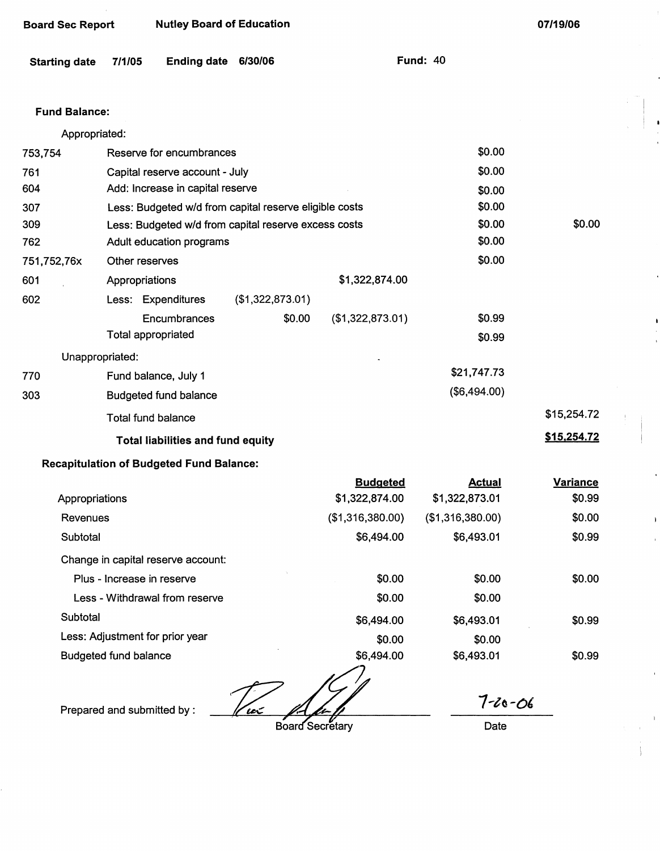| <b>Board Sec Report</b> |                | <b>Nutley Board of Education</b>                       |                  |                  |                 | 07/19/06        |
|-------------------------|----------------|--------------------------------------------------------|------------------|------------------|-----------------|-----------------|
| <b>Starting date</b>    | 7/1/05         | <b>Ending date</b>                                     | 6/30/06          |                  | <b>Fund: 40</b> |                 |
| <b>Fund Balance:</b>    |                |                                                        |                  |                  |                 |                 |
| Appropriated:           |                |                                                        |                  |                  |                 |                 |
| 753,754                 |                | Reserve for encumbrances                               |                  |                  | \$0.00          |                 |
| 761                     |                | Capital reserve account - July                         |                  |                  | \$0.00          |                 |
| 604                     |                | Add: Increase in capital reserve                       |                  |                  | \$0.00          |                 |
| 307                     |                | Less: Budgeted w/d from capital reserve eligible costs |                  |                  | \$0.00          |                 |
| 309                     |                | Less: Budgeted w/d from capital reserve excess costs   |                  |                  | \$0.00          | \$0.00          |
| 762                     |                | Adult education programs                               |                  |                  | \$0.00          |                 |
| 751,752,76x             | Other reserves |                                                        |                  |                  | \$0.00          |                 |
| 601                     | Appropriations |                                                        |                  | \$1,322,874.00   |                 |                 |
| 602                     |                | Less: Expenditures                                     | (\$1,322,873.01) |                  |                 |                 |
|                         |                | Encumbrances                                           | \$0.00           | (\$1,322,873.01) | \$0.99          |                 |
|                         |                | Total appropriated                                     |                  |                  | \$0.99          |                 |
| Unappropriated:         |                |                                                        |                  |                  |                 |                 |
| 770                     |                | Fund balance, July 1                                   |                  |                  | \$21,747.73     |                 |
| 303                     |                | <b>Budgeted fund balance</b>                           |                  |                  | (\$6,494.00)    |                 |
|                         |                | <b>Total fund balance</b>                              |                  |                  |                 | \$15,254.72     |
|                         |                | <b>Total liabilities and fund equity</b>               |                  |                  |                 | \$15,254.72     |
|                         |                | <b>Recapitulation of Budgeted Fund Balance:</b>        |                  |                  |                 |                 |
|                         |                |                                                        |                  | <b>Budgeted</b>  | <b>Actual</b>   | <b>Variance</b> |
| Appropriations          |                |                                                        |                  | \$1,322,874.00   | \$1,322,873.01  | \$0.99          |

| Revenues                           | (\$1,316,380.00) | (\$1,316,380.00) | \$0.00 |
|------------------------------------|------------------|------------------|--------|
| Subtotal                           | \$6,494.00       | \$6,493.01       | \$0.99 |
| Change in capital reserve account: |                  |                  |        |
| Plus - Increase in reserve         | \$0.00           | \$0.00           | \$0.00 |
| Less - Withdrawal from reserve     | \$0.00           | \$0.00           |        |
| Subtotal                           | \$6,494.00       | \$6,493.01       | \$0.99 |
| Less: Adjustment for prior year    | \$0.00           | \$0.00           |        |
| <b>Budgeted fund balance</b>       | \$6,494.00       | \$6,493.01       | \$0.99 |

Prepared and submitted by : ~& ~6arsecretary

Date

*1-ta-o,* 

I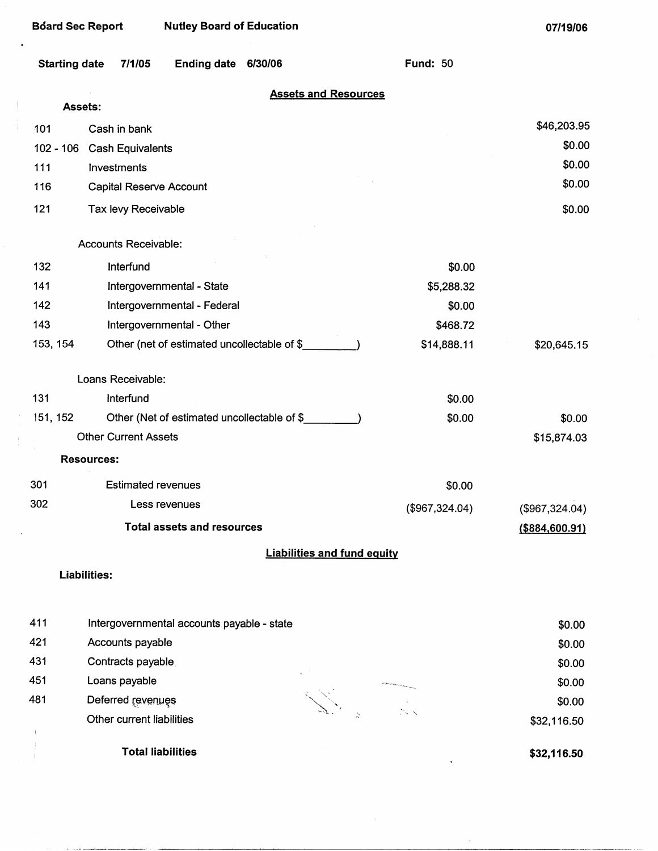$\ddot{\phantom{0}}$ 

**07/19/06** 

| <b>Starting date</b> | <b>Ending date</b><br>6/30/06<br>7/1/05     | <b>Fund: 50</b>                    |
|----------------------|---------------------------------------------|------------------------------------|
| <b>Assets:</b>       |                                             | <b>Assets and Resources</b>        |
|                      |                                             | \$46,203.95                        |
| 101                  | Cash in bank                                | \$0.00                             |
| $102 - 106$<br>111   | <b>Cash Equivalents</b><br>Investments      | \$0.00                             |
| 116                  | <b>Capital Reserve Account</b>              | \$0.00                             |
|                      |                                             |                                    |
| 121                  | Tax levy Receivable                         | \$0.00                             |
|                      | Accounts Receivable:                        |                                    |
| 132                  | Interfund                                   | \$0.00                             |
| 141                  | Intergovernmental - State                   | \$5,288.32                         |
| 142                  | Intergovernmental - Federal                 | \$0.00                             |
| 143                  | Intergovernmental - Other                   | \$468.72                           |
| 153, 154             | Other (net of estimated uncollectable of \$ | \$14,888.11<br>\$20,645.15         |
|                      | Loans Receivable:                           |                                    |
| 131                  | Interfund                                   | \$0.00                             |
| 151, 152             | Other (Net of estimated uncollectable of \$ | \$0.00<br>\$0.00                   |
|                      | <b>Other Current Assets</b>                 | \$15,874.03                        |
|                      | <b>Resources:</b>                           |                                    |
| 301                  | <b>Estimated revenues</b>                   | \$0.00                             |
| 302                  | Less revenues                               | (\$967,324.04)<br>(\$967,324.04)   |
|                      | <b>Total assets and resources</b>           | $($ \$884,600.91)                  |
|                      |                                             | <b>Liabilities and fund equity</b> |
| <b>Liabilities:</b>  |                                             |                                    |
|                      |                                             |                                    |
| 411                  | Intergovernmental accounts payable - state  | \$0.00                             |
| 421                  | Accounts payable                            | \$0.00                             |
| 431                  | Contracts payable                           | \$0.00                             |
| 451                  | Loans payable                               | \$0.00                             |
| 481                  | Deferred revenues                           | \$0.00                             |
|                      | Other current liabilities                   | \$32,116.50                        |

فسأدرأ والمقلب

متطلبها والمستبدلا والدراء

Total liabilities

**\$32,116.50** 

 $\ddot{\phantom{0}}$ 

\$32,116.50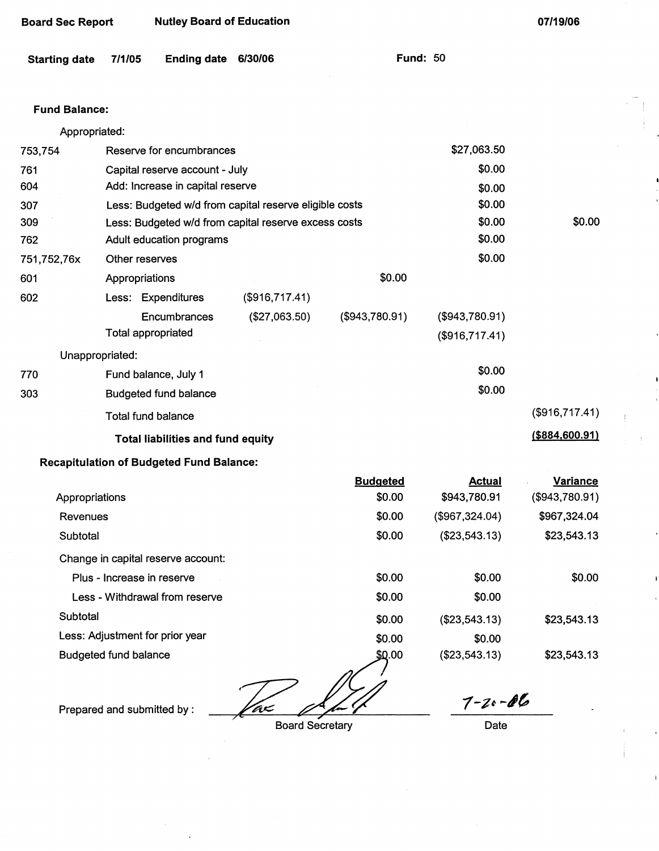| <b>Board Sec Report</b> | <b>Nutley Board of Education</b> |
|-------------------------|----------------------------------|
|-------------------------|----------------------------------|

**Fund: 50** 

## **Fund Balance:**

| Appropriated: |                                                        |                |                |                |                  |
|---------------|--------------------------------------------------------|----------------|----------------|----------------|------------------|
| 753,754       | Reserve for encumbrances                               |                |                | \$27,063.50    |                  |
| 761           | Capital reserve account - July                         |                |                | \$0.00         |                  |
| 604           | Add: Increase in capital reserve                       |                |                | \$0.00         |                  |
| 307           | Less: Budgeted w/d from capital reserve eligible costs |                |                | \$0.00         |                  |
| 309           | Less: Budgeted w/d from capital reserve excess costs   | \$0.00         | \$0.00         |                |                  |
| 762.          | Adult education programs                               |                | \$0.00         |                |                  |
| 751,752,76x   | Other reserves                                         |                |                | \$0.00         |                  |
| 601           | Appropriations                                         |                |                |                |                  |
| 602           | Less: Expenditures                                     | (\$916,717.41) |                |                |                  |
|               | Encumbrances                                           | (\$27,063.50)  | (\$943,780.91) | (\$943,780.91) |                  |
|               | Total appropriated                                     |                |                | (\$916,717.41) |                  |
|               | Unappropriated:                                        |                |                |                |                  |
| 770           | Fund balance, July 1                                   |                |                | \$0.00         |                  |
| 303           | <b>Budgeted fund balance</b>                           |                |                | \$0.00         |                  |
|               | <b>Total fund balance</b>                              |                | (\$916,717.41) |                |                  |
|               | <b>Total liabilities and fund equity</b>               |                |                |                | ( \$884, 600.91) |
|               | <b>Recapitulation of Budgeted Fund Balance:</b>        |                |                |                |                  |
|               |                                                        |                |                |                |                  |

|                                    | <b>Budgeted</b> | <b>Actual</b>  | <b>Variance</b> |
|------------------------------------|-----------------|----------------|-----------------|
| Appropriations                     | \$0.00          | \$943,780.91   | (\$943,780.91)  |
| Revenues                           | \$0.00          | (\$967,324.04) | \$967,324.04    |
| Subtotal                           | \$0.00          | (\$23,543.13)  | \$23,543.13     |
| Change in capital reserve account: |                 |                |                 |
| Plus - Increase in reserve         | \$0.00          | \$0.00         | \$0.00          |
| Less - Withdrawal from reserve     | \$0.00          | \$0.00         |                 |
| Subtotal                           | \$0.00          | (\$23,543.13)  | \$23,543.13     |
| Less: Adjustment for prior year    | \$0.00          | \$0.00         |                 |
| <b>Budgeted fund balance</b>       | \$0.00          | (\$23,543.13)  | \$23,543.13     |

<u> Taz</u>

Prepared and submitted by :

Board Secretary

*1-~t* **-,1&,** 

Date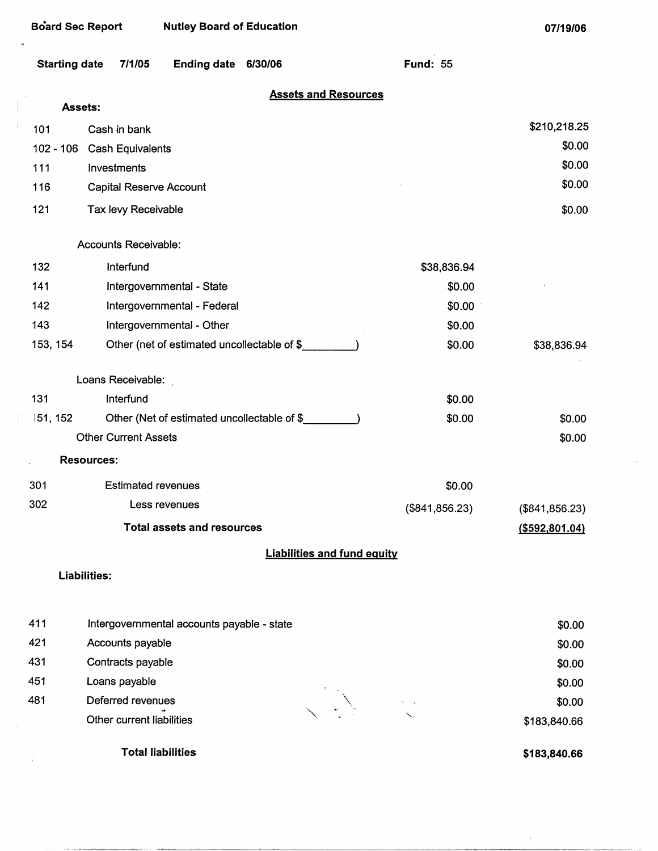| <b>Starting date</b> | <b>Ending date</b><br>7/1/05<br>6/30/06     | <b>Fund: 55</b>  |                 |
|----------------------|---------------------------------------------|------------------|-----------------|
|                      | <b>Assets and Resources</b><br>Assets:      |                  |                 |
| 101                  | Cash in bank                                |                  | \$210,218.25    |
| $102 - 106$          | <b>Cash Equivalents</b>                     |                  | \$0.00          |
| 111                  | Investments                                 |                  | \$0.00          |
| 116                  | Capital Reserve Account                     |                  | \$0.00          |
|                      |                                             |                  |                 |
| 121                  | Tax levy Receivable                         |                  | \$0.00          |
|                      | <b>Accounts Receivable:</b>                 |                  |                 |
| 132                  | Interfund                                   | \$38,836.94      |                 |
| 141                  | Intergovernmental - State                   | \$0.00           |                 |
| 142                  | Intergovernmental - Federal                 | \$0.00           |                 |
| 143                  | Intergovernmental - Other                   | \$0.00           |                 |
| 153, 154             | Other (net of estimated uncollectable of \$ | \$0.00           | \$38,836.94     |
|                      | Loans Receivable:                           |                  |                 |
| 131                  | Interfund                                   | \$0.00           |                 |
| 151, 152             | Other (Net of estimated uncollectable of \$ | \$0.00           | \$0.00          |
|                      | <b>Other Current Assets</b>                 |                  | \$0.00          |
|                      | <b>Resources:</b>                           |                  |                 |
| 301                  | <b>Estimated revenues</b>                   | \$0.00           |                 |
| 302                  | Less revenues                               | (\$841, 856.23)  | (\$841, 856.23) |
|                      |                                             | ( \$592, 801.04) |                 |
|                      | <b>Liabilities and fund equity</b>          |                  |                 |
|                      | <b>Liabilities:</b>                         |                  |                 |
|                      |                                             |                  |                 |
| 411                  | Intergovernmental accounts payable - state  |                  | \$0.00          |
| 421                  | Accounts payable                            |                  | \$0.00          |
| 431                  | Contracts payable                           |                  | \$0.00          |
| 451                  | Loans payable                               |                  | \$0.00          |
| 481                  | Deferred revenues                           |                  | \$0.00          |

- Deferred revenues  $\bigcup_{\substack{1 \leq i \leq n \text{ prime} \\ \text{other current liabilities}}}$ Other current liabilities '-
	- **Total liabilities**

 $\frac{1}{\epsilon}$ 

سأبلغ مساري الأرب

**\$183,840.66** 

\$183,840.66